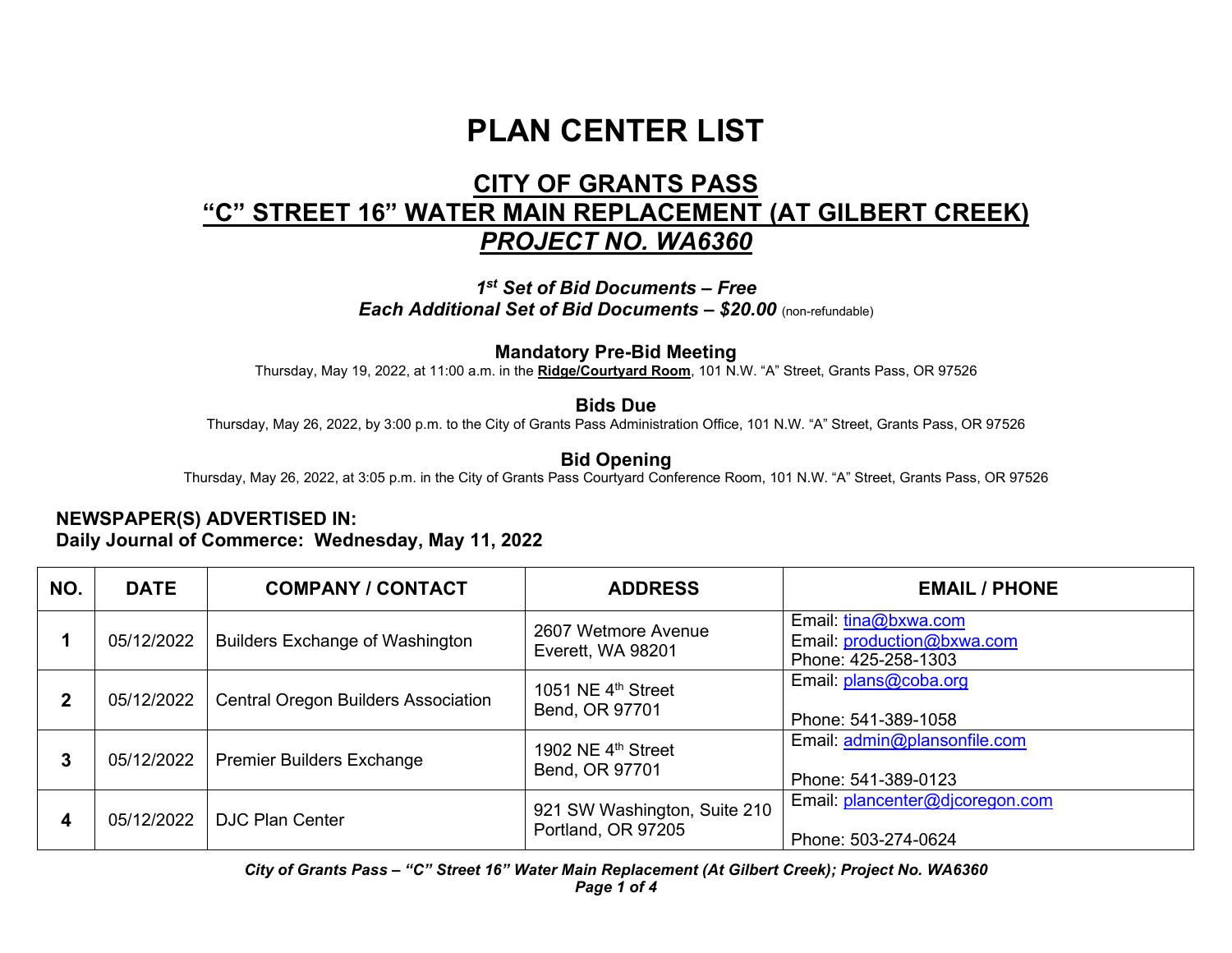# **PLAN CENTER LIST**

# **CITY OF GRANTS PASS "C" STREET 16" WATER MAIN REPLACEMENT (AT GILBERT CREEK)** *PROJECT NO. WA6360*

*1st Set of Bid Documents – Free Each Additional Set of Bid Documents – \$20.00* (non-refundable)

#### **Mandatory Pre-Bid Meeting**

Thursday, May 19, 2022, at 11:00 a.m. in the **Ridge/Courtyard Room**, 101 N.W. "A" Street, Grants Pass, OR 97526

#### **Bids Due**

Thursday, May 26, 2022, by 3:00 p.m. to the City of Grants Pass Administration Office, 101 N.W. "A" Street, Grants Pass, OR 97526

## **Bid Opening**

Thursday, May 26, 2022, at 3:05 p.m. in the City of Grants Pass Courtyard Conference Room, 101 N.W. "A" Street, Grants Pass, OR 97526

## **NEWSPAPER(S) ADVERTISED IN: Daily Journal of Commerce: Wednesday, May 11, 2022**

| NO.          | <b>DATE</b> | <b>COMPANY / CONTACT</b>                   | <b>ADDRESS</b>                                     | <b>EMAIL / PHONE</b>                                                      |
|--------------|-------------|--------------------------------------------|----------------------------------------------------|---------------------------------------------------------------------------|
|              | 05/12/2022  | <b>Builders Exchange of Washington</b>     | 2607 Wetmore Avenue<br>Everett, WA 98201           | Email: tina@bxwa.com<br>Email: production@bxwa.com<br>Phone: 425-258-1303 |
| $\mathbf{2}$ | 05/12/2022  | <b>Central Oregon Builders Association</b> | 1051 NE $4th$ Street<br>Bend, OR 97701             | Email: $plans@coba.org$<br>Phone: 541-389-1058                            |
| 3            | 05/12/2022  | <b>Premier Builders Exchange</b>           | 1902 NE 4 <sup>th</sup> Street<br>Bend, OR 97701   | Email: admin@plansonfile.com<br>Phone: 541-389-0123                       |
| 4            | 05/12/2022  | <b>DJC Plan Center</b>                     | 921 SW Washington, Suite 210<br>Portland, OR 97205 | Email: plancenter@djcoregon.com<br>Phone: 503-274-0624                    |

*City of Grants Pass – "C" Street 16" Water Main Replacement (At Gilbert Creek); Project No. WA6360 Page 1 of 4*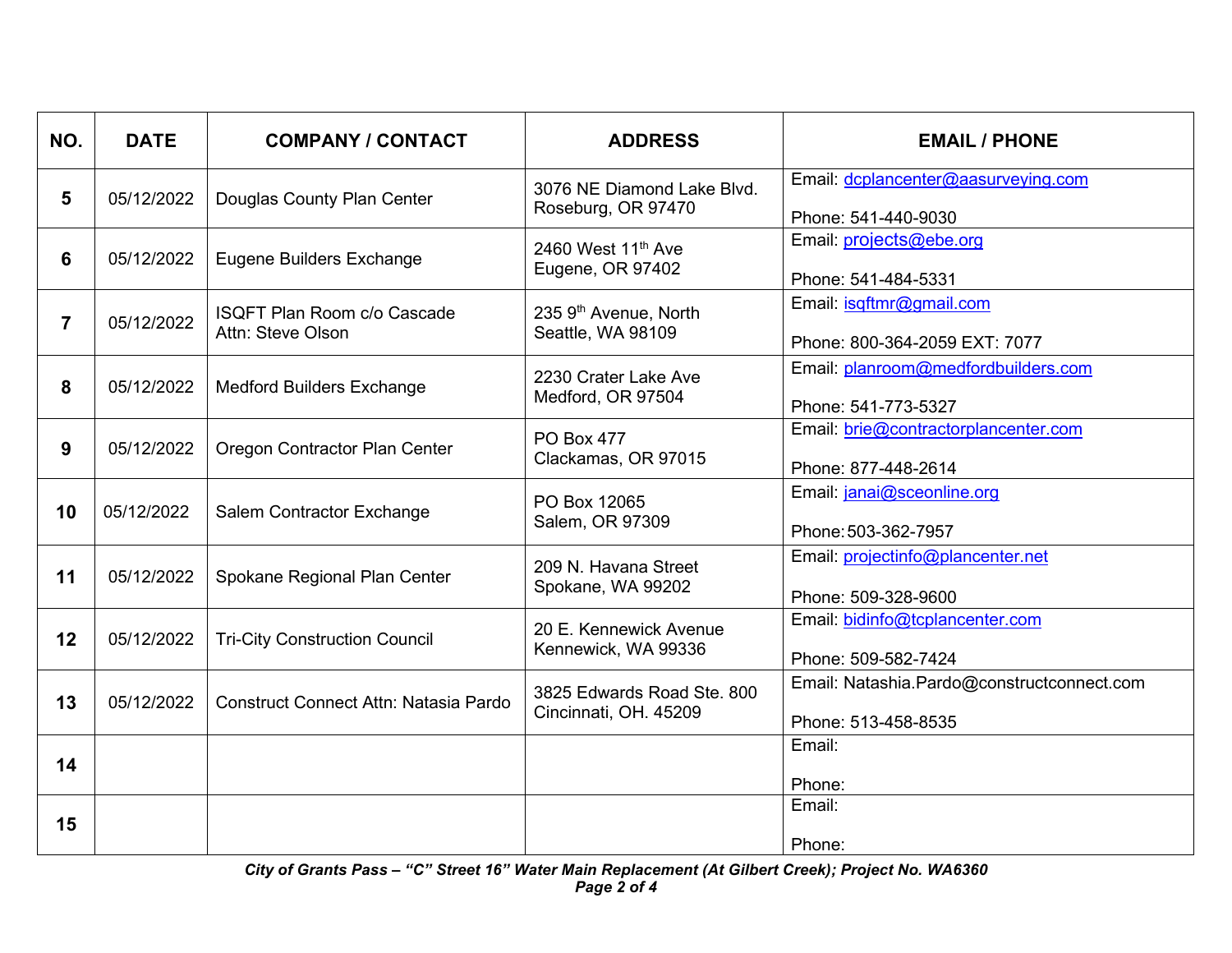| NO. | <b>DATE</b> | <b>COMPANY / CONTACT</b>                                | <b>ADDRESS</b>                                         | <b>EMAIL / PHONE</b>                                              |
|-----|-------------|---------------------------------------------------------|--------------------------------------------------------|-------------------------------------------------------------------|
| 5   | 05/12/2022  | Douglas County Plan Center                              | 3076 NE Diamond Lake Blvd.<br>Roseburg, OR 97470       | Email: dcplancenter@aasurveying.com<br>Phone: 541-440-9030        |
| 6   | 05/12/2022  | <b>Eugene Builders Exchange</b>                         | 2460 West 11 <sup>th</sup> Ave<br>Eugene, OR 97402     | Email: projects@ebe.org<br>Phone: 541-484-5331                    |
| 7   | 05/12/2022  | <b>ISQFT Plan Room c/o Cascade</b><br>Attn: Steve Olson | 235 9 <sup>th</sup> Avenue, North<br>Seattle, WA 98109 | Email: isqftmr@gmail.com<br>Phone: 800-364-2059 EXT: 7077         |
| 8   | 05/12/2022  | <b>Medford Builders Exchange</b>                        | 2230 Crater Lake Ave<br>Medford, OR 97504              | Email: planroom@medfordbuilders.com<br>Phone: 541-773-5327        |
| 9   | 05/12/2022  | Oregon Contractor Plan Center                           | <b>PO Box 477</b><br>Clackamas, OR 97015               | Email: brie@contractorplancenter.com<br>Phone: 877-448-2614       |
| 10  | 05/12/2022  | Salem Contractor Exchange                               | PO Box 12065<br>Salem, OR 97309                        | Email: janai@sceonline.org<br>Phone: 503-362-7957                 |
| 11  | 05/12/2022  | Spokane Regional Plan Center                            | 209 N. Havana Street<br>Spokane, WA 99202              | Email: projectinfo@plancenter.net<br>Phone: 509-328-9600          |
| 12  | 05/12/2022  | <b>Tri-City Construction Council</b>                    | 20 E. Kennewick Avenue<br>Kennewick, WA 99336          | Email: bidinfo@tcplancenter.com<br>Phone: 509-582-7424            |
| 13  | 05/12/2022  | <b>Construct Connect Attn: Natasia Pardo</b>            | 3825 Edwards Road Ste, 800<br>Cincinnati, OH. 45209    | Email: Natashia.Pardo@constructconnect.com<br>Phone: 513-458-8535 |
| 14  |             |                                                         |                                                        | Email:<br>Phone:                                                  |
| 15  |             |                                                         |                                                        | Email:<br>Phone:                                                  |

*City of Grants Pass – "C" Street 16" Water Main Replacement (At Gilbert Creek); Project No. WA6360 Page 2 of 4*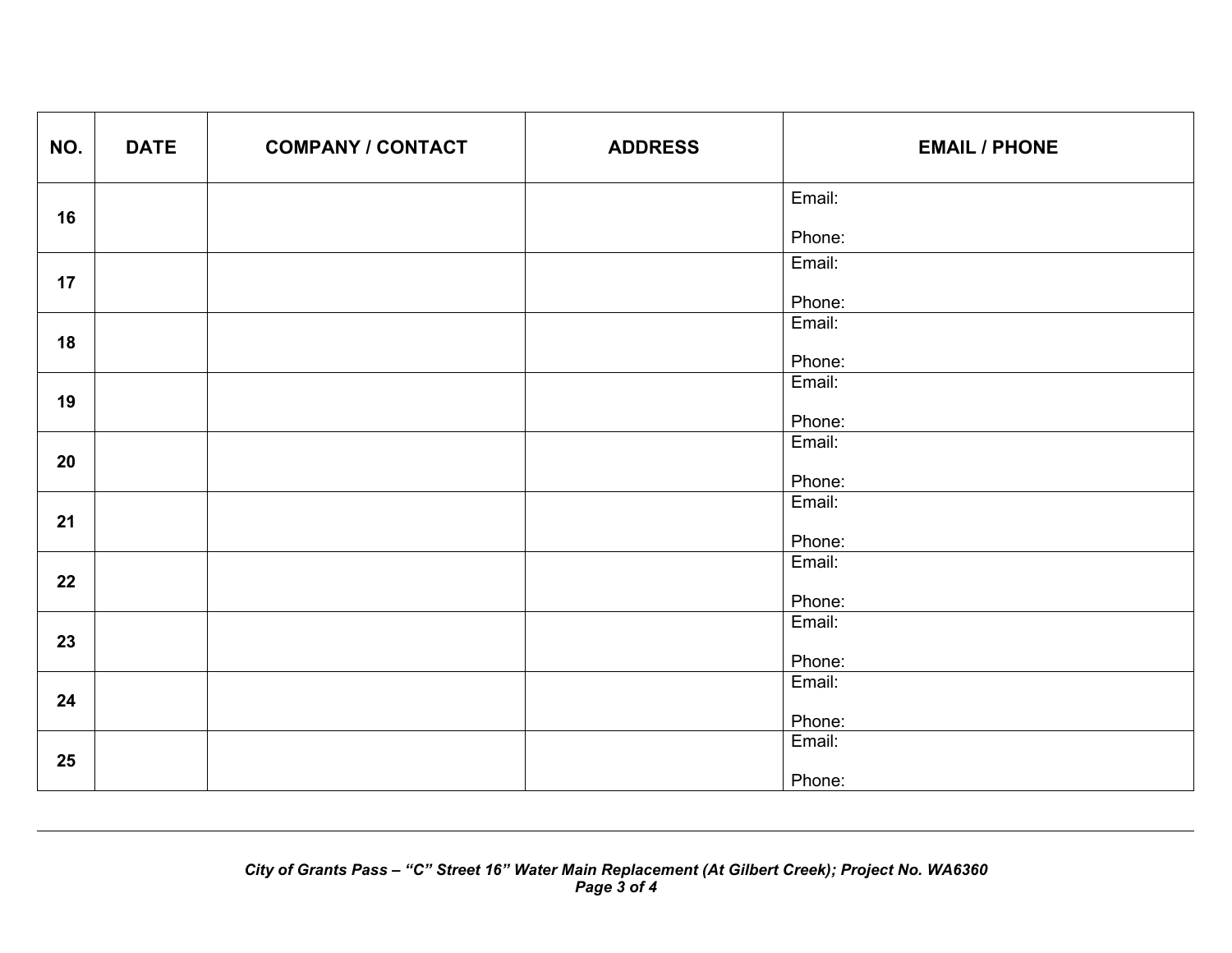| NO. | <b>DATE</b> | <b>COMPANY / CONTACT</b> | <b>ADDRESS</b> | <b>EMAIL / PHONE</b> |
|-----|-------------|--------------------------|----------------|----------------------|
| 16  |             |                          |                | Email:               |
|     |             |                          |                | Phone:               |
| 17  |             |                          |                | Email:               |
|     |             |                          |                | Phone:               |
| 18  |             |                          |                | Email:               |
|     |             |                          |                | Phone:               |
| 19  |             |                          |                | Email:               |
|     |             |                          |                | Phone:               |
|     |             |                          |                | Email:               |
| 20  |             |                          |                | Phone:               |
| 21  |             |                          |                | Email:               |
|     |             |                          |                | Phone:               |
|     |             |                          |                | Email:               |
| 22  |             |                          |                |                      |
|     |             |                          |                | Phone:               |
| 23  |             |                          |                | Email:               |
|     |             |                          |                | Phone:               |
|     |             |                          |                | Email:               |
| 24  |             |                          |                |                      |
|     |             |                          |                | Phone:<br>Email:     |
| 25  |             |                          |                |                      |
|     |             |                          |                | Phone:               |